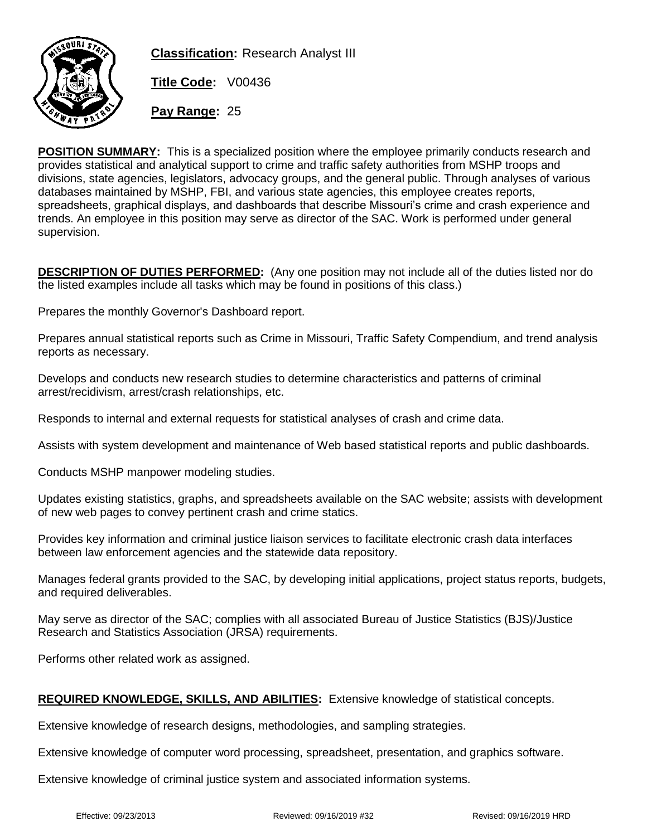

**Classification:** Research Analyst III

**Title Code:** V00436

**Pay Range:** 25

**POSITION SUMMARY:** This is a specialized position where the employee primarily conducts research and provides statistical and analytical support to crime and traffic safety authorities from MSHP troops and divisions, state agencies, legislators, advocacy groups, and the general public. Through analyses of various databases maintained by MSHP, FBI, and various state agencies, this employee creates reports, spreadsheets, graphical displays, and dashboards that describe Missouri's crime and crash experience and trends. An employee in this position may serve as director of the SAC. Work is performed under general supervision.

**DESCRIPTION OF DUTIES PERFORMED:** (Any one position may not include all of the duties listed nor do the listed examples include all tasks which may be found in positions of this class.)

Prepares the monthly Governor's Dashboard report.

Prepares annual statistical reports such as Crime in Missouri, Traffic Safety Compendium, and trend analysis reports as necessary.

Develops and conducts new research studies to determine characteristics and patterns of criminal arrest/recidivism, arrest/crash relationships, etc.

Responds to internal and external requests for statistical analyses of crash and crime data.

Assists with system development and maintenance of Web based statistical reports and public dashboards.

Conducts MSHP manpower modeling studies.

Updates existing statistics, graphs, and spreadsheets available on the SAC website; assists with development of new web pages to convey pertinent crash and crime statics.

Provides key information and criminal justice liaison services to facilitate electronic crash data interfaces between law enforcement agencies and the statewide data repository.

Manages federal grants provided to the SAC, by developing initial applications, project status reports, budgets, and required deliverables.

May serve as director of the SAC; complies with all associated Bureau of Justice Statistics (BJS)/Justice Research and Statistics Association (JRSA) requirements.

Performs other related work as assigned.

## **REQUIRED KNOWLEDGE, SKILLS, AND ABILITIES:** Extensive knowledge of statistical concepts.

Extensive knowledge of research designs, methodologies, and sampling strategies.

Extensive knowledge of computer word processing, spreadsheet, presentation, and graphics software.

Extensive knowledge of criminal justice system and associated information systems.